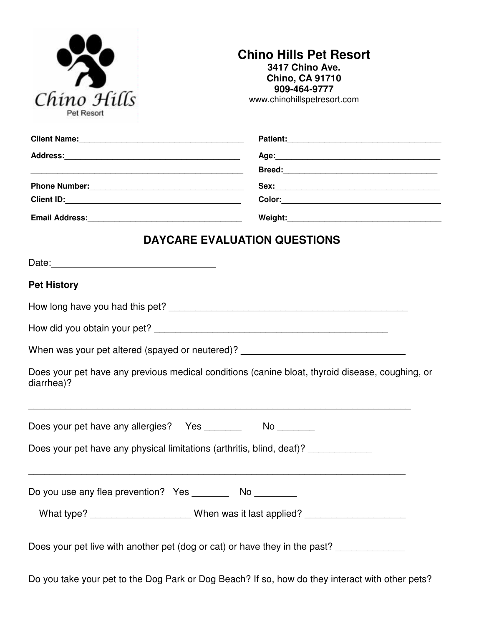| Chino Hills<br>Pet Resort |  |
|---------------------------|--|

## **Chino Hills Pet Resort 3417 Chino Ave. Chino, CA 91710 909-464-9777**

www.chinohillspetresort.com

|                                                                                                               | Patient:                                                                                                                                                                                                                       |  |
|---------------------------------------------------------------------------------------------------------------|--------------------------------------------------------------------------------------------------------------------------------------------------------------------------------------------------------------------------------|--|
|                                                                                                               |                                                                                                                                                                                                                                |  |
|                                                                                                               |                                                                                                                                                                                                                                |  |
|                                                                                                               |                                                                                                                                                                                                                                |  |
|                                                                                                               | Color: Experience of the color of the color of the color of the color of the color of the color of the color of the color of the color of the color of the color of the color of the color of the color of the color of the co |  |
| Email Address: 1988 and 2009 and 2010 and 2010 and 2010 and 2010 and 2010 and 2010 and 2010 and 2010 and 2010 |                                                                                                                                                                                                                                |  |
|                                                                                                               | <b>DAYCARE EVALUATION QUESTIONS</b>                                                                                                                                                                                            |  |
|                                                                                                               |                                                                                                                                                                                                                                |  |
| <b>Pet History</b>                                                                                            |                                                                                                                                                                                                                                |  |
|                                                                                                               |                                                                                                                                                                                                                                |  |
|                                                                                                               |                                                                                                                                                                                                                                |  |
|                                                                                                               | When was your pet altered (spayed or neutered)? ________________________________                                                                                                                                               |  |
| diarrhea)?                                                                                                    | Does your pet have any previous medical conditions (canine bloat, thyroid disease, coughing, or                                                                                                                                |  |
| Does your pet have any allergies?  Yes _______                                                                |                                                                                                                                                                                                                                |  |
| Does your pet have any physical limitations (arthritis, blind, deaf)? ___________                             |                                                                                                                                                                                                                                |  |
| Do you use any flea prevention? Yes _________ No _________                                                    |                                                                                                                                                                                                                                |  |
|                                                                                                               | What type? _______________________When was it last applied? ____________________                                                                                                                                               |  |
|                                                                                                               | Does your pet live with another pet (dog or cat) or have they in the past? ____________                                                                                                                                        |  |

Do you take your pet to the Dog Park or Dog Beach? If so, how do they interact with other pets?